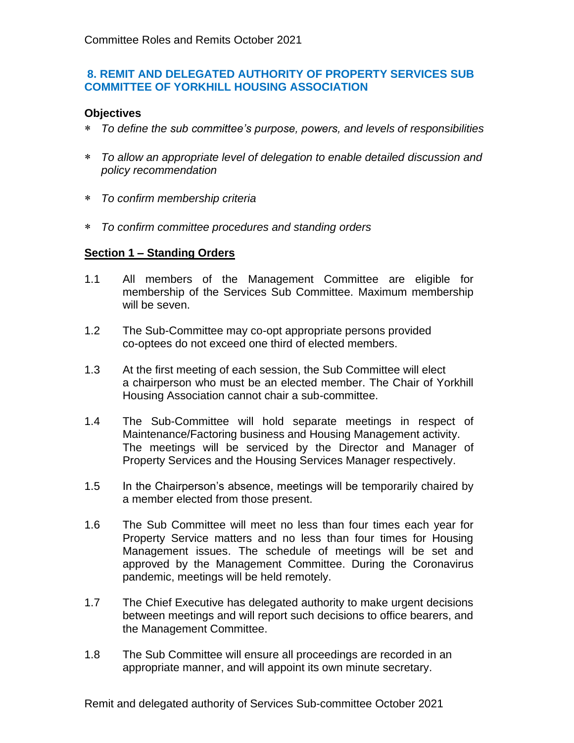## **8. REMIT AND DELEGATED AUTHORITY OF PROPERTY SERVICES SUB COMMITTEE OF YORKHILL HOUSING ASSOCIATION**

## **Objectives**

- *To define the sub committee's purpose, powers, and levels of responsibilities*
- *To allow an appropriate level of delegation to enable detailed discussion and policy recommendation*
- *To confirm membership criteria*
- *To confirm committee procedures and standing orders*

## **Section 1 – Standing Orders**

- 1.1 All members of the Management Committee are eligible for membership of the Services Sub Committee. Maximum membership will be seven.
- 1.2 The Sub-Committee may co-opt appropriate persons provided co-optees do not exceed one third of elected members.
- 1.3 At the first meeting of each session, the Sub Committee will elect a chairperson who must be an elected member. The Chair of Yorkhill Housing Association cannot chair a sub-committee.
- 1.4 The Sub-Committee will hold separate meetings in respect of Maintenance/Factoring business and Housing Management activity. The meetings will be serviced by the Director and Manager of Property Services and the Housing Services Manager respectively.
- 1.5 In the Chairperson's absence, meetings will be temporarily chaired by a member elected from those present.
- 1.6 The Sub Committee will meet no less than four times each year for Property Service matters and no less than four times for Housing Management issues. The schedule of meetings will be set and approved by the Management Committee. During the Coronavirus pandemic, meetings will be held remotely.
- 1.7 The Chief Executive has delegated authority to make urgent decisions between meetings and will report such decisions to office bearers, and the Management Committee.
- 1.8 The Sub Committee will ensure all proceedings are recorded in an appropriate manner, and will appoint its own minute secretary.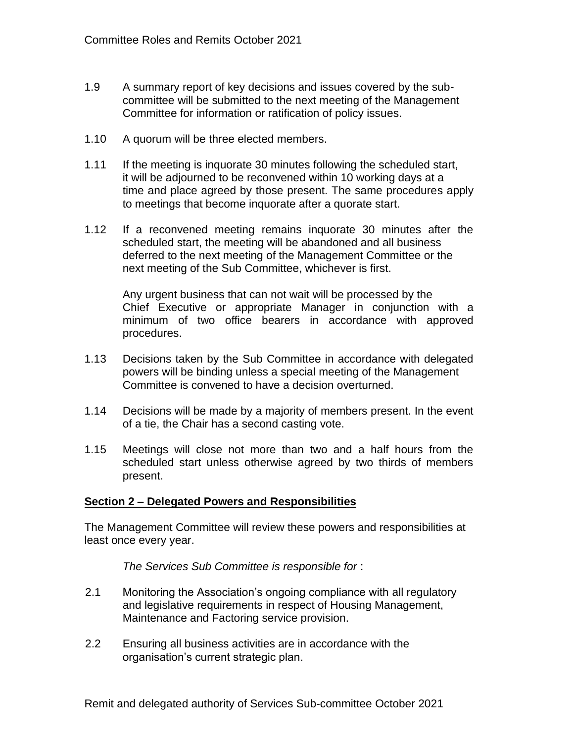- 1.9 A summary report of key decisions and issues covered by the subcommittee will be submitted to the next meeting of the Management Committee for information or ratification of policy issues.
- 1.10 A quorum will be three elected members.
- 1.11 If the meeting is inquorate 30 minutes following the scheduled start, it will be adjourned to be reconvened within 10 working days at a time and place agreed by those present. The same procedures apply to meetings that become inquorate after a quorate start.
- 1.12 If a reconvened meeting remains inquorate 30 minutes after the scheduled start, the meeting will be abandoned and all business deferred to the next meeting of the Management Committee or the next meeting of the Sub Committee, whichever is first.

Any urgent business that can not wait will be processed by the Chief Executive or appropriate Manager in conjunction with a minimum of two office bearers in accordance with approved procedures.

- 1.13 Decisions taken by the Sub Committee in accordance with delegated powers will be binding unless a special meeting of the Management Committee is convened to have a decision overturned.
- 1.14 Decisions will be made by a majority of members present. In the event of a tie, the Chair has a second casting vote.
- 1.15 Meetings will close not more than two and a half hours from the scheduled start unless otherwise agreed by two thirds of members present.

## **Section 2 – Delegated Powers and Responsibilities**

The Management Committee will review these powers and responsibilities at least once every year.

*The Services Sub Committee is responsible for* :

- 2.1 Monitoring the Association's ongoing compliance with all regulatory and legislative requirements in respect of Housing Management, Maintenance and Factoring service provision.
- 2.2 Ensuring all business activities are in accordance with the organisation's current strategic plan.